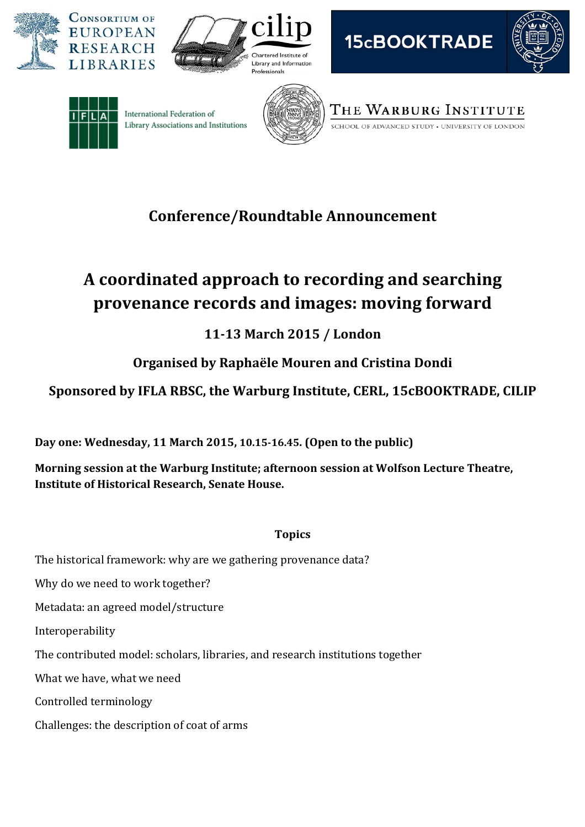











International Federation of Library Associations and Institutions



THE WARBURG INSTITUTE

SCHOOL OF ADVANCED STUDY . UNIVERSITY OF LONDON

# **Conference/Roundtable Announcement**

# **A coordinated approach to recording and searching provenance records and images: moving forward**

# **1113 March 2015 / London**

# **Organised by Raphaële Mouren and Cristina Dondi**

### **Sponsored by IFLA RBSC, the Warburg Institute, CERL, 15cBOOKTRADE, CILIP**

**Day one: Wednesday, 11 March 2015, 10.1516.45. (Open to the public)** 

**Morning session at the Warburg Institute; afternoon session at Wolfson Lecture Theatre, Institute of Historical Research, Senate House.**

### **Topics**

The historical framework: why are we gathering provenance data?

Why do we need to work together?

Metadata: an agreed model/structure

Interoperability

The contributed model: scholars, libraries, and research institutions together

What we have, what we need

Controlled terminology

Challenges: the description of coat of arms